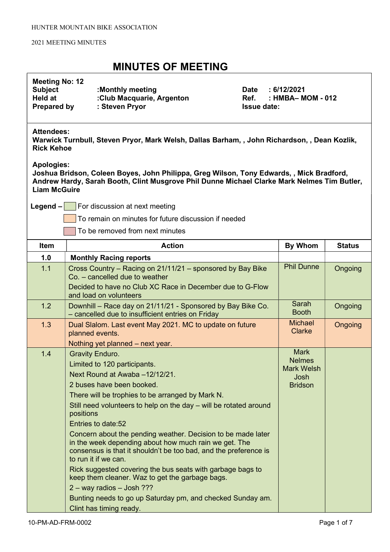| <b>Meeting No: 12</b><br><b>Subject</b><br><b>Held at</b><br><b>Prepared by</b>                                                        | :Monthly meeting<br><b>Date</b><br>:Club Macquarie, Argenton<br>Ref.<br>: Steven Pryor<br><b>Issue date:</b>                                                                                                                                                                                                                                                                                                                                                                                                                                                                                                                                                                                                                                  | : 6/12/2021<br>: HMBA- MOM - 012                                            |               |
|----------------------------------------------------------------------------------------------------------------------------------------|-----------------------------------------------------------------------------------------------------------------------------------------------------------------------------------------------------------------------------------------------------------------------------------------------------------------------------------------------------------------------------------------------------------------------------------------------------------------------------------------------------------------------------------------------------------------------------------------------------------------------------------------------------------------------------------------------------------------------------------------------|-----------------------------------------------------------------------------|---------------|
| <b>Attendees:</b><br>Warwick Turnbull, Steven Pryor, Mark Welsh, Dallas Barham, , John Richardson, , Dean Kozlik,<br><b>Rick Kehoe</b> |                                                                                                                                                                                                                                                                                                                                                                                                                                                                                                                                                                                                                                                                                                                                               |                                                                             |               |
| <b>Apologies:</b><br><b>Liam McGuire</b>                                                                                               | Joshua Bridson, Coleen Boyes, John Philippa, Greg Wilson, Tony Edwards, , Mick Bradford,<br>Andrew Hardy, Sarah Booth, Clint Musgrove Phil Dunne Michael Clarke Mark Nelmes Tim Butler,                                                                                                                                                                                                                                                                                                                                                                                                                                                                                                                                                       |                                                                             |               |
| $Legend -$                                                                                                                             | For discussion at next meeting                                                                                                                                                                                                                                                                                                                                                                                                                                                                                                                                                                                                                                                                                                                |                                                                             |               |
|                                                                                                                                        | To remain on minutes for future discussion if needed                                                                                                                                                                                                                                                                                                                                                                                                                                                                                                                                                                                                                                                                                          |                                                                             |               |
|                                                                                                                                        | To be removed from next minutes                                                                                                                                                                                                                                                                                                                                                                                                                                                                                                                                                                                                                                                                                                               |                                                                             |               |
| Item                                                                                                                                   | <b>Action</b>                                                                                                                                                                                                                                                                                                                                                                                                                                                                                                                                                                                                                                                                                                                                 | <b>By Whom</b>                                                              | <b>Status</b> |
| 1.0                                                                                                                                    | <b>Monthly Racing reports</b>                                                                                                                                                                                                                                                                                                                                                                                                                                                                                                                                                                                                                                                                                                                 |                                                                             |               |
| 1.1                                                                                                                                    | Cross Country – Racing on 21/11/21 – sponsored by Bay Bike<br>Co. - cancelled due to weather<br>Decided to have no Club XC Race in December due to G-Flow<br>and load on volunteers                                                                                                                                                                                                                                                                                                                                                                                                                                                                                                                                                           | <b>Phil Dunne</b>                                                           | Ongoing       |
| 1.2                                                                                                                                    | Downhill - Race day on 21/11/21 - Sponsored by Bay Bike Co.<br>- cancelled due to insufficient entries on Friday                                                                                                                                                                                                                                                                                                                                                                                                                                                                                                                                                                                                                              | Sarah<br><b>Booth</b>                                                       | Ongoing       |
| 1.3                                                                                                                                    | Dual Slalom. Last event May 2021. MC to update on future<br>planned events.<br>Nothing yet planned - next year.                                                                                                                                                                                                                                                                                                                                                                                                                                                                                                                                                                                                                               | <b>Michael</b><br><b>Clarke</b>                                             | Ongoing       |
| 1.4                                                                                                                                    | <b>Gravity Enduro.</b><br>Limited to 120 participants.<br>Next Round at Awaba -12/12/21.<br>2 buses have been booked.<br>There will be trophies to be arranged by Mark N.<br>Still need volunteers to help on the day – will be rotated around<br>positions<br>Entries to date:52<br>Concern about the pending weather. Decision to be made later<br>in the week depending about how much rain we get. The<br>consensus is that it shouldn't be too bad, and the preference is<br>to run it if we can.<br>Rick suggested covering the bus seats with garbage bags to<br>keep them cleaner. Waz to get the garbage bags.<br>2 - way radios - Josh ???<br>Bunting needs to go up Saturday pm, and checked Sunday am.<br>Clint has timing ready. | <b>Mark</b><br><b>Nelmes</b><br><b>Mark Welsh</b><br>Josh<br><b>Bridson</b> |               |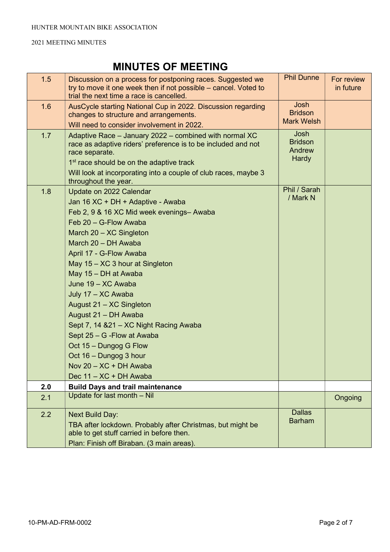| 1.5 | Discussion on a process for postponing races. Suggested we<br>try to move it one week then if not possible – cancel. Voted to<br>trial the next time a race is cancelled. | <b>Phil Dunne</b>        | For review<br>in future |
|-----|---------------------------------------------------------------------------------------------------------------------------------------------------------------------------|--------------------------|-------------------------|
| 1.6 | AusCycle starting National Cup in 2022. Discussion regarding                                                                                                              | Josh<br><b>Bridson</b>   |                         |
|     | changes to structure and arrangements.                                                                                                                                    | <b>Mark Welsh</b>        |                         |
|     | Will need to consider involvement in 2022.                                                                                                                                | Josh                     |                         |
| 1.7 | Adaptive Race - January 2022 - combined with normal XC<br>race as adaptive riders' preference is to be included and not<br>race separate.                                 | <b>Bridson</b><br>Andrew |                         |
|     | 1 <sup>st</sup> race should be on the adaptive track                                                                                                                      | Hardy                    |                         |
|     | Will look at incorporating into a couple of club races, maybe 3<br>throughout the year.                                                                                   |                          |                         |
| 1.8 | Update on 2022 Calendar                                                                                                                                                   | Phil / Sarah             |                         |
|     | Jan 16 XC + DH + Adaptive - Awaba                                                                                                                                         | / Mark N                 |                         |
|     | Feb 2, 9 & 16 XC Mid week evenings- Awaba                                                                                                                                 |                          |                         |
|     | Feb 20 - G-Flow Awaba                                                                                                                                                     |                          |                         |
|     | March 20 - XC Singleton                                                                                                                                                   |                          |                         |
|     | March 20 - DH Awaba                                                                                                                                                       |                          |                         |
|     | April 17 - G-Flow Awaba                                                                                                                                                   |                          |                         |
|     | May 15 - XC 3 hour at Singleton                                                                                                                                           |                          |                         |
|     | May 15 - DH at Awaba                                                                                                                                                      |                          |                         |
|     | June 19 - XC Awaba                                                                                                                                                        |                          |                         |
|     | July 17 - XC Awaba                                                                                                                                                        |                          |                         |
|     | August 21 - XC Singleton                                                                                                                                                  |                          |                         |
|     | August 21 - DH Awaba                                                                                                                                                      |                          |                         |
|     | Sept 7, 14 & 21 - XC Night Racing Awaba                                                                                                                                   |                          |                         |
|     | Sept 25 - G - Flow at Awaba                                                                                                                                               |                          |                         |
|     | Oct 15 - Dungog G Flow                                                                                                                                                    |                          |                         |
|     | Oct 16 - Dungog 3 hour                                                                                                                                                    |                          |                         |
|     | Nov 20 - XC + DH Awaba                                                                                                                                                    |                          |                         |
|     | Dec 11 - XC + DH Awaba                                                                                                                                                    |                          |                         |
| 2.0 | <b>Build Days and trail maintenance</b>                                                                                                                                   |                          |                         |
| 2.1 | Update for last month - Nil                                                                                                                                               |                          | Ongoing                 |
| 2.2 | <b>Next Build Day:</b>                                                                                                                                                    | <b>Dallas</b>            |                         |
|     | TBA after lockdown. Probably after Christmas, but might be                                                                                                                | <b>Barham</b>            |                         |
|     | able to get stuff carried in before then.                                                                                                                                 |                          |                         |
|     | Plan: Finish off Biraban. (3 main areas).                                                                                                                                 |                          |                         |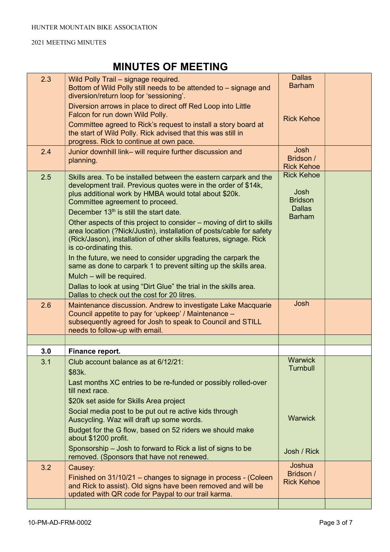| 2.3 | Wild Polly Trail - signage required.<br>Bottom of Wild Polly still needs to be attended to – signage and<br>diversion/return loop for 'sessioning'.                                                                                                                                                                                                                                                                                                                                                                                                                                                                                                                                                                                                                                                                       | <b>Dallas</b><br><b>Barham</b>                                                |  |
|-----|---------------------------------------------------------------------------------------------------------------------------------------------------------------------------------------------------------------------------------------------------------------------------------------------------------------------------------------------------------------------------------------------------------------------------------------------------------------------------------------------------------------------------------------------------------------------------------------------------------------------------------------------------------------------------------------------------------------------------------------------------------------------------------------------------------------------------|-------------------------------------------------------------------------------|--|
|     | Diversion arrows in place to direct off Red Loop into Little<br>Falcon for run down Wild Polly.                                                                                                                                                                                                                                                                                                                                                                                                                                                                                                                                                                                                                                                                                                                           | <b>Rick Kehoe</b>                                                             |  |
|     | Committee agreed to Rick's request to install a story board at<br>the start of Wild Polly. Rick advised that this was still in<br>progress. Rick to continue at own pace.                                                                                                                                                                                                                                                                                                                                                                                                                                                                                                                                                                                                                                                 |                                                                               |  |
| 2.4 | Junior downhill link- will require further discussion and<br>planning.                                                                                                                                                                                                                                                                                                                                                                                                                                                                                                                                                                                                                                                                                                                                                    | Josh<br>Bridson /<br><b>Rick Kehoe</b>                                        |  |
| 2.5 | Skills area. To be installed between the eastern carpark and the<br>development trail. Previous quotes were in the order of \$14k,<br>plus additional work by HMBA would total about \$20k.<br>Committee agreement to proceed.<br>December 13 <sup>th</sup> is still the start date.<br>Other aspects of this project to consider – moving of dirt to skills<br>area location (?Nick/Justin), installation of posts/cable for safety<br>(Rick/Jason), installation of other skills features, signage. Rick<br>is co-ordinating this.<br>In the future, we need to consider upgrading the carpark the<br>same as done to carpark 1 to prevent silting up the skills area.<br>Mulch – will be required.<br>Dallas to look at using "Dirt Glue" the trial in the skills area.<br>Dallas to check out the cost for 20 litres. | <b>Rick Kehoe</b><br>Josh<br><b>Bridson</b><br><b>Dallas</b><br><b>Barham</b> |  |
| 2.6 | Maintenance discussion. Andrew to investigate Lake Macquarie<br>Council appetite to pay for 'upkeep' / Maintenance -<br>subsequently agreed for Josh to speak to Council and STILL<br>needs to follow-up with email.                                                                                                                                                                                                                                                                                                                                                                                                                                                                                                                                                                                                      | Josh                                                                          |  |
|     |                                                                                                                                                                                                                                                                                                                                                                                                                                                                                                                                                                                                                                                                                                                                                                                                                           |                                                                               |  |
| 3.0 | Finance report.                                                                                                                                                                                                                                                                                                                                                                                                                                                                                                                                                                                                                                                                                                                                                                                                           |                                                                               |  |
| 3.1 | Club account balance as at 6/12/21:                                                                                                                                                                                                                                                                                                                                                                                                                                                                                                                                                                                                                                                                                                                                                                                       | <b>Warwick</b><br>Turnbull                                                    |  |
|     | \$83k.<br>Last months XC entries to be re-funded or possibly rolled-over<br>till next race.<br>\$20k set aside for Skills Area project<br>Social media post to be put out re active kids through                                                                                                                                                                                                                                                                                                                                                                                                                                                                                                                                                                                                                          |                                                                               |  |
|     | Auscycling. Waz will draft up some words.<br>Budget for the G flow, based on 52 riders we should make<br>about \$1200 profit.                                                                                                                                                                                                                                                                                                                                                                                                                                                                                                                                                                                                                                                                                             | <b>Warwick</b>                                                                |  |
|     | Sponsorship – Josh to forward to Rick a list of signs to be<br>removed. (Sponsors that have not renewed.                                                                                                                                                                                                                                                                                                                                                                                                                                                                                                                                                                                                                                                                                                                  | Josh / Rick                                                                   |  |
| 3.2 | Causey:                                                                                                                                                                                                                                                                                                                                                                                                                                                                                                                                                                                                                                                                                                                                                                                                                   | Joshua<br>Bridson /                                                           |  |
|     | Finished on 31/10/21 – changes to signage in process - (Coleen<br>and Rick to assist). Old signs have been removed and will be<br>updated with QR code for Paypal to our trail karma.                                                                                                                                                                                                                                                                                                                                                                                                                                                                                                                                                                                                                                     | <b>Rick Kehoe</b>                                                             |  |
|     |                                                                                                                                                                                                                                                                                                                                                                                                                                                                                                                                                                                                                                                                                                                                                                                                                           |                                                                               |  |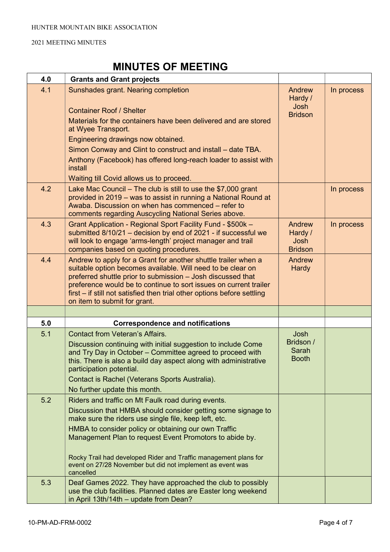| 4.0 | <b>Grants and Grant projects</b>                                                                                                                                                                                                                                                                                                                                                                                                              |                                                    |            |
|-----|-----------------------------------------------------------------------------------------------------------------------------------------------------------------------------------------------------------------------------------------------------------------------------------------------------------------------------------------------------------------------------------------------------------------------------------------------|----------------------------------------------------|------------|
| 4.1 | Sunshades grant. Nearing completion<br><b>Container Roof / Shelter</b><br>Materials for the containers have been delivered and are stored<br>at Wyee Transport.<br>Engineering drawings now obtained.<br>Simon Conway and Clint to construct and install – date TBA.<br>Anthony (Facebook) has offered long-reach loader to assist with<br>install<br>Waiting till Covid allows us to proceed.                                                | Andrew<br>Hardy /<br>Josh<br><b>Bridson</b>        | In process |
| 4.2 | Lake Mac Council $-$ The club is still to use the \$7,000 grant<br>provided in 2019 – was to assist in running a National Round at<br>Awaba. Discussion on when has commenced – refer to<br>comments regarding Auscycling National Series above.                                                                                                                                                                                              |                                                    | In process |
| 4.3 | Grant Application - Regional Sport Facility Fund - \$500k -<br>submitted 8/10/21 - decision by end of 2021 - if successful we<br>will look to engage 'arms-length' project manager and trail<br>companies based on quoting procedures.                                                                                                                                                                                                        | Andrew<br>Hardy /<br><b>Josh</b><br><b>Bridson</b> | In process |
| 4.4 | Andrew to apply for a Grant for another shuttle trailer when a<br>suitable option becomes available. Will need to be clear on<br>preferred shuttle prior to submission - Josh discussed that<br>preference would be to continue to sort issues on current trailer<br>first – if still not satisfied then trial other options before settling<br>on item to submit for grant.                                                                  | Andrew<br>Hardy                                    |            |
|     |                                                                                                                                                                                                                                                                                                                                                                                                                                               |                                                    |            |
| 5.0 | <b>Correspondence and notifications</b>                                                                                                                                                                                                                                                                                                                                                                                                       |                                                    |            |
| 5.1 | <b>Contact from Veteran's Affairs.</b><br>Discussion continuing with initial suggestion to include Come<br>and Try Day in October - Committee agreed to proceed with<br>this. There is also a build day aspect along with administrative<br>participation potential.<br>Contact is Rachel (Veterans Sports Australia).<br>No further update this month.                                                                                       | <b>Josh</b><br>Bridson /<br>Sarah<br><b>Booth</b>  |            |
| 5.2 | Riders and traffic on Mt Faulk road during events.<br>Discussion that HMBA should consider getting some signage to<br>make sure the riders use single file, keep left, etc.<br>HMBA to consider policy or obtaining our own Traffic<br>Management Plan to request Event Promotors to abide by.<br>Rocky Trail had developed Rider and Traffic management plans for<br>event on 27/28 November but did not implement as event was<br>cancelled |                                                    |            |
| 5.3 | Deaf Games 2022. They have approached the club to possibly<br>use the club facilities. Planned dates are Easter long weekend<br>in April 13th/14th - update from Dean?                                                                                                                                                                                                                                                                        |                                                    |            |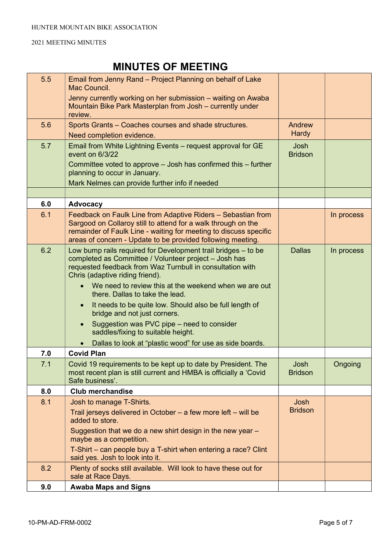| 5.5 | Email from Jenny Rand – Project Planning on behalf of Lake<br>Mac Council.                                                                                                                                                                                                                                                                                                                                                                                                                                                                                                 |                               |            |
|-----|----------------------------------------------------------------------------------------------------------------------------------------------------------------------------------------------------------------------------------------------------------------------------------------------------------------------------------------------------------------------------------------------------------------------------------------------------------------------------------------------------------------------------------------------------------------------------|-------------------------------|------------|
|     | Jenny currently working on her submission - waiting on Awaba<br>Mountain Bike Park Masterplan from Josh - currently under<br>review.                                                                                                                                                                                                                                                                                                                                                                                                                                       |                               |            |
| 5.6 | Sports Grants - Coaches courses and shade structures.                                                                                                                                                                                                                                                                                                                                                                                                                                                                                                                      | Andrew                        |            |
|     | Need completion evidence.                                                                                                                                                                                                                                                                                                                                                                                                                                                                                                                                                  | <b>Hardy</b>                  |            |
| 5.7 | Email from White Lightning Events - request approval for GE<br>event on 6/3/22                                                                                                                                                                                                                                                                                                                                                                                                                                                                                             | <b>Josh</b><br><b>Bridson</b> |            |
|     | Committee voted to approve $-$ Josh has confirmed this $-$ further<br>planning to occur in January.                                                                                                                                                                                                                                                                                                                                                                                                                                                                        |                               |            |
|     | Mark Nelmes can provide further info if needed                                                                                                                                                                                                                                                                                                                                                                                                                                                                                                                             |                               |            |
|     |                                                                                                                                                                                                                                                                                                                                                                                                                                                                                                                                                                            |                               |            |
| 6.0 | <b>Advocacy</b>                                                                                                                                                                                                                                                                                                                                                                                                                                                                                                                                                            |                               |            |
| 6.1 | Feedback on Faulk Line from Adaptive Riders - Sebastian from<br>Sargood on Collaroy still to attend for a walk through on the<br>remainder of Faulk Line - waiting for meeting to discuss specific<br>areas of concern - Update to be provided following meeting.                                                                                                                                                                                                                                                                                                          |                               | In process |
| 6.2 | Low bump rails required for Development trail bridges - to be<br>completed as Committee / Volunteer project - Josh has<br>requested feedback from Waz Turnbull in consultation with<br>Chris (adaptive riding friend).<br>We need to review this at the weekend when we are out<br>there. Dallas to take the lead.<br>It needs to be quite low. Should also be full length of<br>$\bullet$<br>bridge and not just corners.<br>Suggestion was PVC pipe – need to consider<br>saddles/fixing to suitable height.<br>Dallas to look at "plastic wood" for use as side boards. | <b>Dallas</b>                 | In process |
| 7.0 | <b>Covid Plan</b>                                                                                                                                                                                                                                                                                                                                                                                                                                                                                                                                                          |                               |            |
| 7.1 | Covid 19 requirements to be kept up to date by President. The<br>most recent plan is still current and HMBA is officially a 'Covid<br>Safe business'.                                                                                                                                                                                                                                                                                                                                                                                                                      | Josh<br><b>Bridson</b>        | Ongoing    |
| 8.0 | <b>Club merchandise</b>                                                                                                                                                                                                                                                                                                                                                                                                                                                                                                                                                    |                               |            |
| 8.1 | Josh to manage T-Shirts.                                                                                                                                                                                                                                                                                                                                                                                                                                                                                                                                                   | Josh                          |            |
|     | Trail jerseys delivered in October $-$ a few more left $-$ will be<br>added to store.                                                                                                                                                                                                                                                                                                                                                                                                                                                                                      | <b>Bridson</b>                |            |
|     | Suggestion that we do a new shirt design in the new year -<br>maybe as a competition.                                                                                                                                                                                                                                                                                                                                                                                                                                                                                      |                               |            |
|     | T-Shirt – can people buy a T-shirt when entering a race? Clint<br>said yes. Josh to look into it.                                                                                                                                                                                                                                                                                                                                                                                                                                                                          |                               |            |
| 8.2 | Plenty of socks still available. Will look to have these out for<br>sale at Race Days.                                                                                                                                                                                                                                                                                                                                                                                                                                                                                     |                               |            |
| 9.0 | <b>Awaba Maps and Signs</b>                                                                                                                                                                                                                                                                                                                                                                                                                                                                                                                                                |                               |            |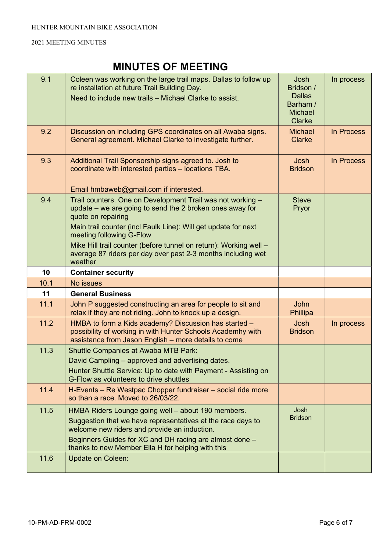| 9.1          | Coleen was working on the large trail maps. Dallas to follow up<br>re installation at future Trail Building Day.<br>Need to include new trails - Michael Clarke to assist.                                                                                                                                                                                                                 | <b>Josh</b><br>Bridson /<br><b>Dallas</b><br>Barham /<br><b>Michael</b><br><b>Clarke</b> | In process |
|--------------|--------------------------------------------------------------------------------------------------------------------------------------------------------------------------------------------------------------------------------------------------------------------------------------------------------------------------------------------------------------------------------------------|------------------------------------------------------------------------------------------|------------|
| 9.2          | Discussion on including GPS coordinates on all Awaba signs.<br>General agreement. Michael Clarke to investigate further.                                                                                                                                                                                                                                                                   | <b>Michael</b><br><b>Clarke</b>                                                          | In Process |
| 9.3          | Additional Trail Sponsorship signs agreed to. Josh to<br>coordinate with interested parties - locations TBA.<br>Email hmbaweb@gmail.com if interested.                                                                                                                                                                                                                                     | Josh<br><b>Bridson</b>                                                                   | In Process |
| 9.4          | Trail counters. One on Development Trail was not working -<br>update – we are going to send the 2 broken ones away for<br>quote on repairing<br>Main trail counter (incl Faulk Line): Will get update for next<br>meeting following G-Flow<br>Mike Hill trail counter (before tunnel on return): Working well -<br>average 87 riders per day over past 2-3 months including wet<br>weather | <b>Steve</b><br>Pryor                                                                    |            |
| 10           | <b>Container security</b>                                                                                                                                                                                                                                                                                                                                                                  |                                                                                          |            |
|              |                                                                                                                                                                                                                                                                                                                                                                                            |                                                                                          |            |
| 10.1         | <b>No issues</b>                                                                                                                                                                                                                                                                                                                                                                           |                                                                                          |            |
| 11           | <b>General Business</b>                                                                                                                                                                                                                                                                                                                                                                    |                                                                                          |            |
| 11.1         | John P suggested constructing an area for people to sit and<br>relax if they are not riding. John to knock up a design.                                                                                                                                                                                                                                                                    | <b>John</b><br>Phillipa                                                                  |            |
| 11.2         | HMBA to form a Kids academy? Discussion has started -<br>possibility of working in with Hunter Schools Academhy with<br>assistance from Jason English - more details to come                                                                                                                                                                                                               | <b>Josh</b><br><b>Bridson</b>                                                            | In process |
| 11.3         | <b>Shuttle Companies at Awaba MTB Park:</b><br>David Campling – approved and advertising dates.<br>Hunter Shuttle Service: Up to date with Payment - Assisting on<br>G-Flow as volunteers to drive shuttles                                                                                                                                                                                |                                                                                          |            |
| 11.4         | H-Events - Re Westpac Chopper fundraiser - social ride more<br>so than a race. Moved to 26/03/22.                                                                                                                                                                                                                                                                                          |                                                                                          |            |
| 11.5<br>11.6 | HMBA Riders Lounge going well - about 190 members.<br>Suggestion that we have representatives at the race days to<br>welcome new riders and provide an induction.<br>Beginners Guides for XC and DH racing are almost done -<br>thanks to new Member Ella H for helping with this                                                                                                          | Josh<br><b>Bridson</b>                                                                   |            |